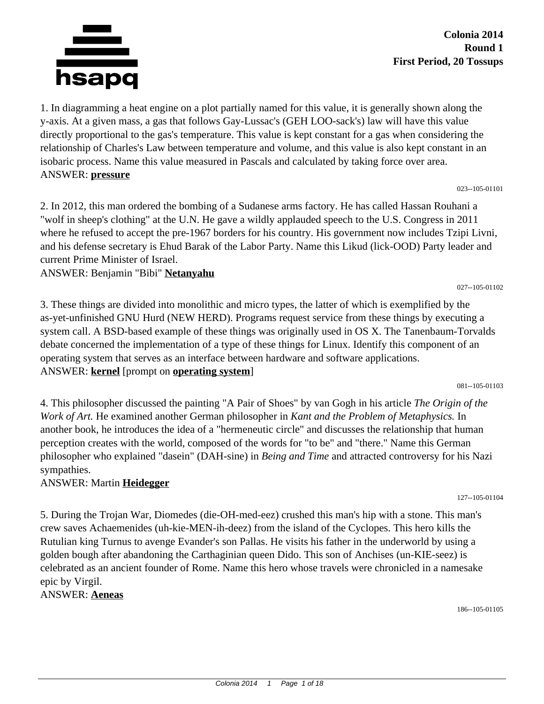

**Colonia 2014 Round 1 First Period, 20 Tossups**

1. In diagramming a heat engine on a plot partially named for this value, it is generally shown along the y-axis. At a given mass, a gas that follows Gay-Lussac's (GEH LOO-sack's) law will have this value directly proportional to the gas's temperature. This value is kept constant for a gas when considering the relationship of Charles's Law between temperature and volume, and this value is also kept constant in an isobaric process. Name this value measured in Pascals and calculated by taking force over area. ANSWER: **pressure**

023--105-01101

2. In 2012, this man ordered the bombing of a Sudanese arms factory. He has called Hassan Rouhani a "wolf in sheep's clothing" at the U.N. He gave a wildly applauded speech to the U.S. Congress in 2011 where he refused to accept the pre-1967 borders for his country. His government now includes Tzipi Livni, and his defense secretary is Ehud Barak of the Labor Party. Name this Likud (lick-OOD) Party leader and current Prime Minister of Israel.

ANSWER: Benjamin "Bibi" **Netanyahu**

3. These things are divided into monolithic and micro types, the latter of which is exemplified by the as-yet-unfinished GNU Hurd (NEW HERD). Programs request service from these things by executing a system call. A BSD-based example of these things was originally used in OS X. The Tanenbaum-Torvalds debate concerned the implementation of a type of these things for Linux. Identify this component of an operating system that serves as an interface between hardware and software applications. ANSWER: **kernel** [prompt on **operating system**]

081--105-01103

027--105-01102

4. This philosopher discussed the painting "A Pair of Shoes" by van Gogh in his article *The Origin of the Work of Art.* He examined another German philosopher in *Kant and the Problem of Metaphysics.* In another book, he introduces the idea of a "hermeneutic circle" and discusses the relationship that human perception creates with the world, composed of the words for "to be" and "there." Name this German philosopher who explained "dasein" (DAH-sine) in *Being and Time* and attracted controversy for his Nazi sympathies.

#### ANSWER: Martin **Heidegger**

5. During the Trojan War, Diomedes (die-OH-med-eez) crushed this man's hip with a stone. This man's crew saves Achaemenides (uh-kie-MEN-ih-deez) from the island of the Cyclopes. This hero kills the Rutulian king Turnus to avenge Evander's son Pallas. He visits his father in the underworld by using a golden bough after abandoning the Carthaginian queen Dido. This son of Anchises (un-KIE-seez) is celebrated as an ancient founder of Rome. Name this hero whose travels were chronicled in a namesake epic by Virgil.

ANSWER: **Aeneas**

127--105-01104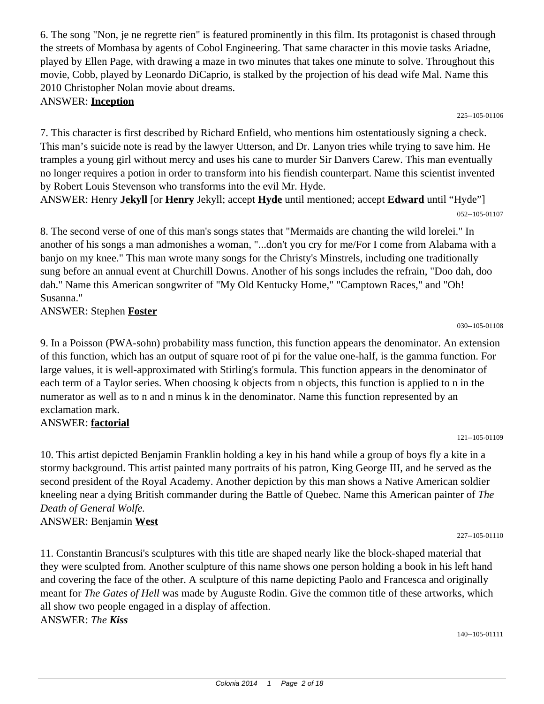6. The song "Non, je ne regrette rien" is featured prominently in this film. Its protagonist is chased through the streets of Mombasa by agents of Cobol Engineering. That same character in this movie tasks Ariadne, played by Ellen Page, with drawing a maze in two minutes that takes one minute to solve. Throughout this movie, Cobb, played by Leonardo DiCaprio, is stalked by the projection of his dead wife Mal. Name this 2010 Christopher Nolan movie about dreams.

ANSWER: **Inception**

7. This character is first described by Richard Enfield, who mentions him ostentatiously signing a check. This man's suicide note is read by the lawyer Utterson, and Dr. Lanyon tries while trying to save him. He tramples a young girl without mercy and uses his cane to murder Sir Danvers Carew. This man eventually no longer requires a potion in order to transform into his fiendish counterpart. Name this scientist invented by Robert Louis Stevenson who transforms into the evil Mr. Hyde.

ANSWER: Henry **Jekyll** [or **Henry** Jekyll; accept **Hyde** until mentioned; accept **Edward** until "Hyde"] 052--105-01107

8. The second verse of one of this man's songs states that "Mermaids are chanting the wild lorelei." In another of his songs a man admonishes a woman, "...don't you cry for me/For I come from Alabama with a banjo on my knee." This man wrote many songs for the Christy's Minstrels, including one traditionally sung before an annual event at Churchill Downs. Another of his songs includes the refrain, "Doo dah, doo dah." Name this American songwriter of "My Old Kentucky Home," "Camptown Races," and "Oh! Susanna."

ANSWER: Stephen **Foster**

9. In a Poisson (PWA-sohn) probability mass function, this function appears the denominator. An extension of this function, which has an output of square root of pi for the value one-half, is the gamma function. For large values, it is well-approximated with Stirling's formula. This function appears in the denominator of each term of a Taylor series. When choosing k objects from n objects, this function is applied to n in the numerator as well as to n and n minus k in the denominator. Name this function represented by an exclamation mark.

# ANSWER: **factorial**

10. This artist depicted Benjamin Franklin holding a key in his hand while a group of boys fly a kite in a stormy background. This artist painted many portraits of his patron, King George III, and he served as the second president of the Royal Academy. Another depiction by this man shows a Native American soldier kneeling near a dying British commander during the Battle of Quebec. Name this American painter of *The Death of General Wolfe.* ANSWER: Benjamin **West**

11. Constantin Brancusi's sculptures with this title are shaped nearly like the block-shaped material that they were sculpted from. Another sculpture of this name shows one person holding a book in his left hand and covering the face of the other. A sculpture of this name depicting Paolo and Francesca and originally meant for *The Gates of Hell* was made by Auguste Rodin. Give the common title of these artworks, which all show two people engaged in a display of affection. ANSWER: *The Kiss*

030--105-01108

225--105-01106

227--105-01110

121--105-01109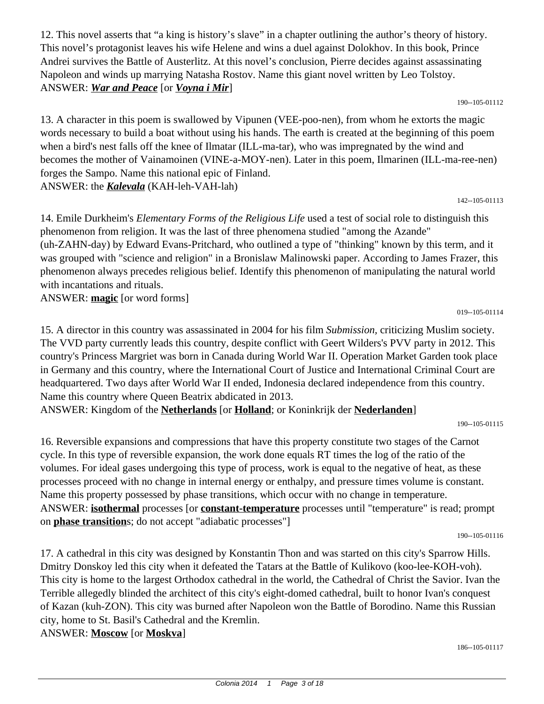12. This novel asserts that "a king is history's slave" in a chapter outlining the author's theory of history. This novel's protagonist leaves his wife Helene and wins a duel against Dolokhov. In this book, Prince Andrei survives the Battle of Austerlitz. At this novel's conclusion, Pierre decides against assassinating Napoleon and winds up marrying Natasha Rostov. Name this giant novel written by Leo Tolstoy. ANSWER: *War and Peace* [or *Voyna i Mir*]

190--105-01112

13. A character in this poem is swallowed by Vipunen (VEE-poo-nen), from whom he extorts the magic words necessary to build a boat without using his hands. The earth is created at the beginning of this poem when a bird's nest falls off the knee of Ilmatar (ILL-ma-tar), who was impregnated by the wind and becomes the mother of Vainamoinen (VINE-a-MOY-nen). Later in this poem, Ilmarinen (ILL-ma-ree-nen) forges the Sampo. Name this national epic of Finland. ANSWER: the *Kalevala* (KAH-leh-VAH-lah)

142--105-01113

14. Emile Durkheim's *Elementary Forms of the Religious Life* used a test of social role to distinguish this phenomenon from religion. It was the last of three phenomena studied "among the Azande" (uh-ZAHN-day) by Edward Evans-Pritchard, who outlined a type of "thinking" known by this term, and it was grouped with "science and religion" in a Bronislaw Malinowski paper. According to James Frazer, this phenomenon always precedes religious belief. Identify this phenomenon of manipulating the natural world with incantations and rituals.

ANSWER: **magic** [or word forms]

019--105-01114

15. A director in this country was assassinated in 2004 for his film *Submission,* criticizing Muslim society. The VVD party currently leads this country, despite conflict with Geert Wilders's PVV party in 2012. This country's Princess Margriet was born in Canada during World War II. Operation Market Garden took place in Germany and this country, where the International Court of Justice and International Criminal Court are headquartered. Two days after World War II ended, Indonesia declared independence from this country. Name this country where Queen Beatrix abdicated in 2013.

ANSWER: Kingdom of the **Netherlands** [or **Holland**; or Koninkrijk der **Nederlanden**]

190--105-01115

16. Reversible expansions and compressions that have this property constitute two stages of the Carnot cycle. In this type of reversible expansion, the work done equals RT times the log of the ratio of the volumes. For ideal gases undergoing this type of process, work is equal to the negative of heat, as these processes proceed with no change in internal energy or enthalpy, and pressure times volume is constant. Name this property possessed by phase transitions, which occur with no change in temperature. ANSWER: **isothermal** processes [or **constant-temperature** processes until "temperature" is read; prompt on **phase transition**s; do not accept "adiabatic processes"]

190--105-01116

17. A cathedral in this city was designed by Konstantin Thon and was started on this city's Sparrow Hills. Dmitry Donskoy led this city when it defeated the Tatars at the Battle of Kulikovo (koo-lee-KOH-voh). This city is home to the largest Orthodox cathedral in the world, the Cathedral of Christ the Savior. Ivan the Terrible allegedly blinded the architect of this city's eight-domed cathedral, built to honor Ivan's conquest of Kazan (kuh-ZON). This city was burned after Napoleon won the Battle of Borodino. Name this Russian city, home to St. Basil's Cathedral and the Kremlin.

ANSWER: **Moscow** [or **Moskva**]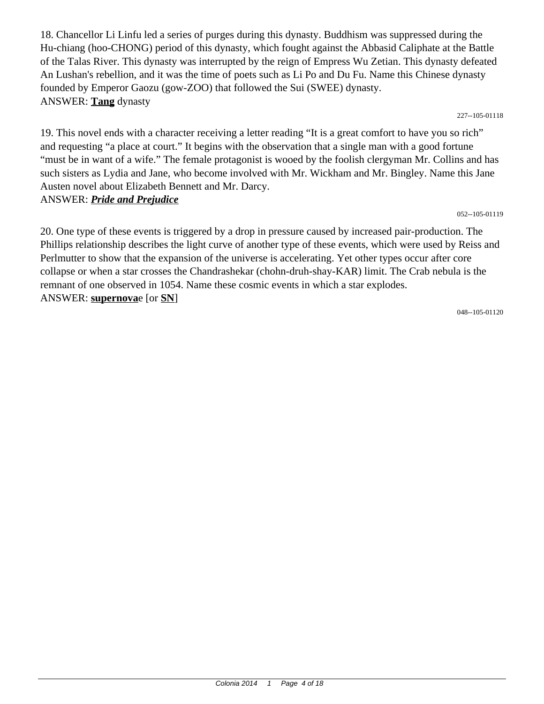18. Chancellor Li Linfu led a series of purges during this dynasty. Buddhism was suppressed during the Hu-chiang (hoo-CHONG) period of this dynasty, which fought against the Abbasid Caliphate at the Battle of the Talas River. This dynasty was interrupted by the reign of Empress Wu Zetian. This dynasty defeated An Lushan's rebellion, and it was the time of poets such as Li Po and Du Fu. Name this Chinese dynasty founded by Emperor Gaozu (gow-ZOO) that followed the Sui (SWEE) dynasty. ANSWER: **Tang** dynasty

227--105-01118

19. This novel ends with a character receiving a letter reading "It is a great comfort to have you so rich" and requesting "a place at court." It begins with the observation that a single man with a good fortune "must be in want of a wife." The female protagonist is wooed by the foolish clergyman Mr. Collins and has such sisters as Lydia and Jane, who become involved with Mr. Wickham and Mr. Bingley. Name this Jane Austen novel about Elizabeth Bennett and Mr. Darcy. ANSWER: *Pride and Prejudice*

052--105-01119

20. One type of these events is triggered by a drop in pressure caused by increased pair-production. The Phillips relationship describes the light curve of another type of these events, which were used by Reiss and Perlmutter to show that the expansion of the universe is accelerating. Yet other types occur after core collapse or when a star crosses the Chandrashekar (chohn-druh-shay-KAR) limit. The Crab nebula is the remnant of one observed in 1054. Name these cosmic events in which a star explodes. ANSWER: **supernova**e [or **SN**]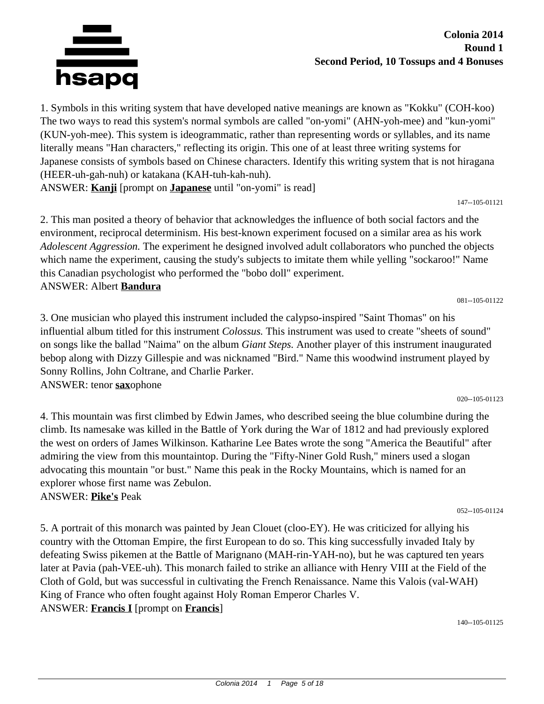

1. Symbols in this writing system that have developed native meanings are known as "Kokku" (COH-koo) The two ways to read this system's normal symbols are called "on-yomi" (AHN-yoh-mee) and "kun-yomi" (KUN-yoh-mee). This system is ideogrammatic, rather than representing words or syllables, and its name literally means "Han characters," reflecting its origin. This one of at least three writing systems for Japanese consists of symbols based on Chinese characters. Identify this writing system that is not hiragana (HEER-uh-gah-nuh) or katakana (KAH-tuh-kah-nuh).

ANSWER: **Kanji** [prompt on **Japanese** until "on-yomi" is read]

147--105-01121

2. This man posited a theory of behavior that acknowledges the influence of both social factors and the environment, reciprocal determinism. His best-known experiment focused on a similar area as his work *Adolescent Aggression.* The experiment he designed involved adult collaborators who punched the objects which name the experiment, causing the study's subjects to imitate them while yelling "sockaroo!" Name this Canadian psychologist who performed the "bobo doll" experiment. ANSWER: Albert **Bandura**

081--105-01122

3. One musician who played this instrument included the calypso-inspired "Saint Thomas" on his influential album titled for this instrument *Colossus.* This instrument was used to create "sheets of sound" on songs like the ballad "Naima" on the album *Giant Steps.* Another player of this instrument inaugurated bebop along with Dizzy Gillespie and was nicknamed "Bird." Name this woodwind instrument played by Sonny Rollins, John Coltrane, and Charlie Parker. ANSWER: tenor **sax**ophone

020--105-01123

4. This mountain was first climbed by Edwin James, who described seeing the blue columbine during the climb. Its namesake was killed in the Battle of York during the War of 1812 and had previously explored the west on orders of James Wilkinson. Katharine Lee Bates wrote the song "America the Beautiful" after admiring the view from this mountaintop. During the "Fifty-Niner Gold Rush," miners used a slogan advocating this mountain "or bust." Name this peak in the Rocky Mountains, which is named for an explorer whose first name was Zebulon. ANSWER: **Pike's** Peak

052--105-01124

5. A portrait of this monarch was painted by Jean Clouet (cloo-EY). He was criticized for allying his country with the Ottoman Empire, the first European to do so. This king successfully invaded Italy by defeating Swiss pikemen at the Battle of Marignano (MAH-rin-YAH-no), but he was captured ten years later at Pavia (pah-VEE-uh). This monarch failed to strike an alliance with Henry VIII at the Field of the Cloth of Gold, but was successful in cultivating the French Renaissance. Name this Valois (val-WAH) King of France who often fought against Holy Roman Emperor Charles V. ANSWER: **Francis I** [prompt on **Francis**]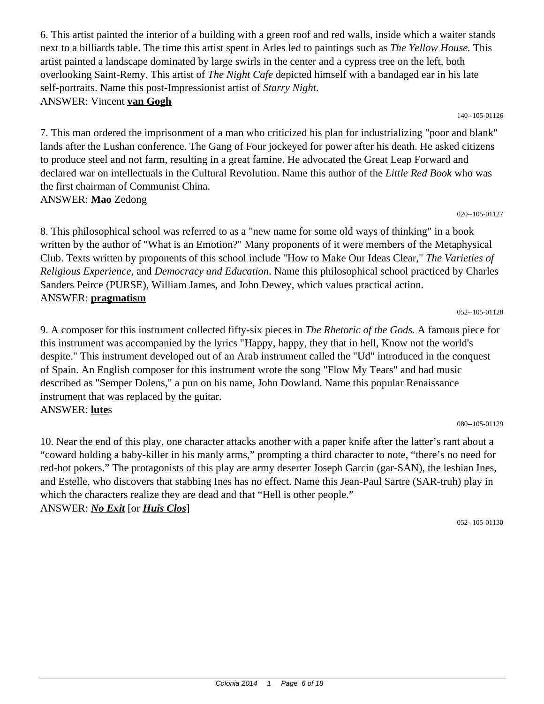6. This artist painted the interior of a building with a green roof and red walls, inside which a waiter stands next to a billiards table. The time this artist spent in Arles led to paintings such as *The Yellow House.* This artist painted a landscape dominated by large swirls in the center and a cypress tree on the left, both overlooking Saint-Remy. This artist of *The Night Cafe* depicted himself with a bandaged ear in his late self-portraits. Name this post-Impressionist artist of *Starry Night.* ANSWER: Vincent **van Gogh**

140--105-01126

7. This man ordered the imprisonment of a man who criticized his plan for industrializing "poor and blank" lands after the Lushan conference. The Gang of Four jockeyed for power after his death. He asked citizens to produce steel and not farm, resulting in a great famine. He advocated the Great Leap Forward and declared war on intellectuals in the Cultural Revolution. Name this author of the *Little Red Book* who was the first chairman of Communist China. ANSWER: **Mao** Zedong

020--105-01127

8. This philosophical school was referred to as a "new name for some old ways of thinking" in a book written by the author of "What is an Emotion?" Many proponents of it were members of the Metaphysical Club. Texts written by proponents of this school include "How to Make Our Ideas Clear," *The Varieties of Religious Experience,* and *Democracy and Education*. Name this philosophical school practiced by Charles Sanders Peirce (PURSE), William James, and John Dewey, which values practical action. ANSWER: **pragmatism**

#### 052--105-01128

9. A composer for this instrument collected fifty-six pieces in *The Rhetoric of the Gods.* A famous piece for this instrument was accompanied by the lyrics "Happy, happy, they that in hell, Know not the world's despite." This instrument developed out of an Arab instrument called the "Ud" introduced in the conquest of Spain. An English composer for this instrument wrote the song "Flow My Tears" and had music described as "Semper Dolens," a pun on his name, John Dowland. Name this popular Renaissance instrument that was replaced by the guitar. ANSWER: **lute**s

080--105-01129

10. Near the end of this play, one character attacks another with a paper knife after the latter's rant about a "coward holding a baby-killer in his manly arms," prompting a third character to note, "there's no need for red-hot pokers." The protagonists of this play are army deserter Joseph Garcin (gar-SAN), the lesbian Ines, and Estelle, who discovers that stabbing Ines has no effect. Name this Jean-Paul Sartre (SAR-truh) play in which the characters realize they are dead and that "Hell is other people." ANSWER: *No Exit* [or *Huis Clos*]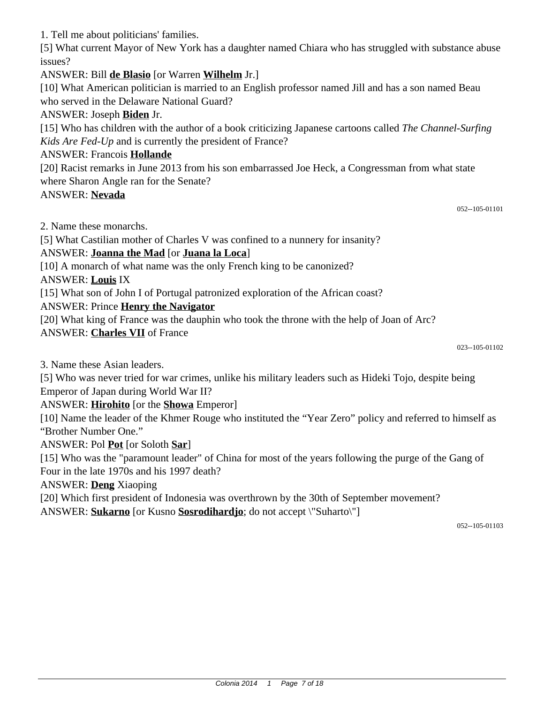1. Tell me about politicians' families.

[5] What current Mayor of New York has a daughter named Chiara who has struggled with substance abuse issues?

ANSWER: Bill **de Blasio** [or Warren **Wilhelm** Jr.]

[10] What American politician is married to an English professor named Jill and has a son named Beau who served in the Delaware National Guard?

# ANSWER: Joseph **Biden** Jr.

[15] Who has children with the author of a book criticizing Japanese cartoons called *The Channel-Surfing Kids Are Fed-Up* and is currently the president of France?

#### ANSWER: Francois **Hollande**

[20] Racist remarks in June 2013 from his son embarrassed Joe Heck, a Congressman from what state where Sharon Angle ran for the Senate?

#### ANSWER: **Nevada**

052--105-01101

2. Name these monarchs.

[5] What Castilian mother of Charles V was confined to a nunnery for insanity?

# ANSWER: **Joanna the Mad** [or **Juana la Loca**]

[10] A monarch of what name was the only French king to be canonized?

ANSWER: **Louis** IX

[15] What son of John I of Portugal patronized exploration of the African coast?

### ANSWER: Prince **Henry the Navigator**

[20] What king of France was the dauphin who took the throne with the help of Joan of Arc? ANSWER: **Charles VII** of France

023--105-01102

3. Name these Asian leaders.

[5] Who was never tried for war crimes, unlike his military leaders such as Hideki Tojo, despite being Emperor of Japan during World War II?

ANSWER: **Hirohito** [or the **Showa** Emperor]

[10] Name the leader of the Khmer Rouge who instituted the "Year Zero" policy and referred to himself as "Brother Number One."

ANSWER: Pol **Pot** [or Soloth **Sar**]

[15] Who was the "paramount leader" of China for most of the years following the purge of the Gang of Four in the late 1970s and his 1997 death?

ANSWER: **Deng** Xiaoping

[20] Which first president of Indonesia was overthrown by the 30th of September movement?

ANSWER: **Sukarno** [or Kusno **Sosrodihardjo**; do not accept \"Suharto\"]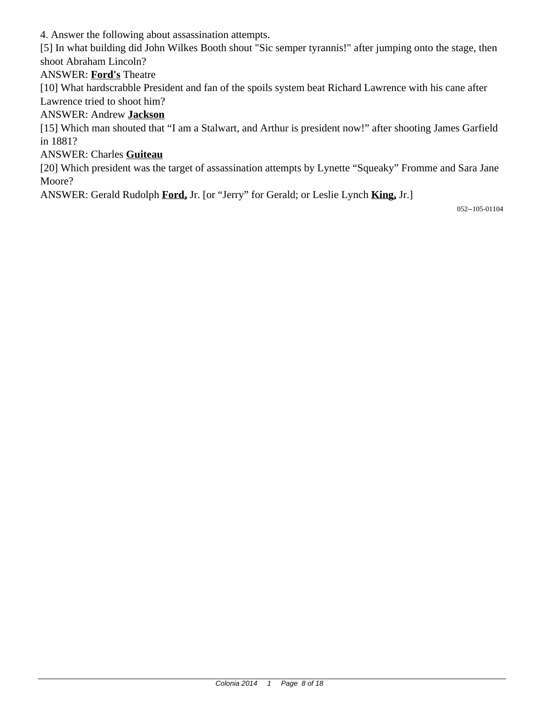4. Answer the following about assassination attempts.

[5] In what building did John Wilkes Booth shout "Sic semper tyrannis!" after jumping onto the stage, then shoot Abraham Lincoln?

# ANSWER: **Ford's** Theatre

[10] What hardscrabble President and fan of the spoils system beat Richard Lawrence with his cane after Lawrence tried to shoot him?

# ANSWER: Andrew **Jackson**

[15] Which man shouted that "I am a Stalwart, and Arthur is president now!" after shooting James Garfield in 1881?

### ANSWER: Charles **Guiteau**

[20] Which president was the target of assassination attempts by Lynette "Squeaky" Fromme and Sara Jane Moore?

ANSWER: Gerald Rudolph **Ford,** Jr. [or "Jerry" for Gerald; or Leslie Lynch **King,** Jr.]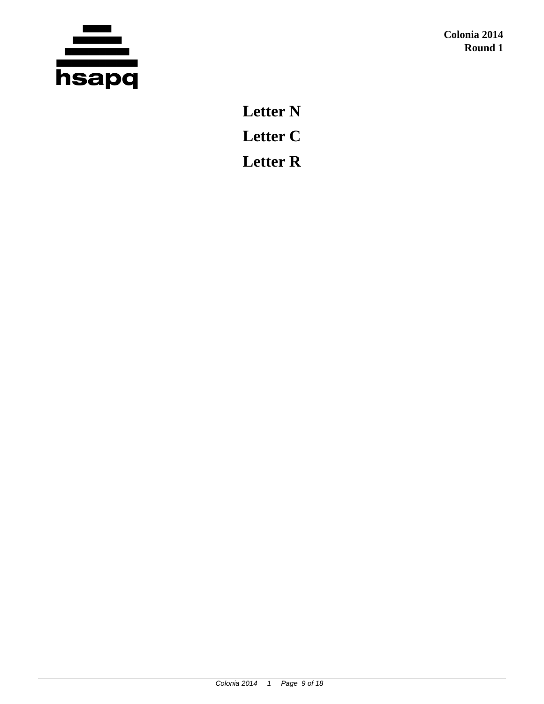

**Letter N Letter C Letter R**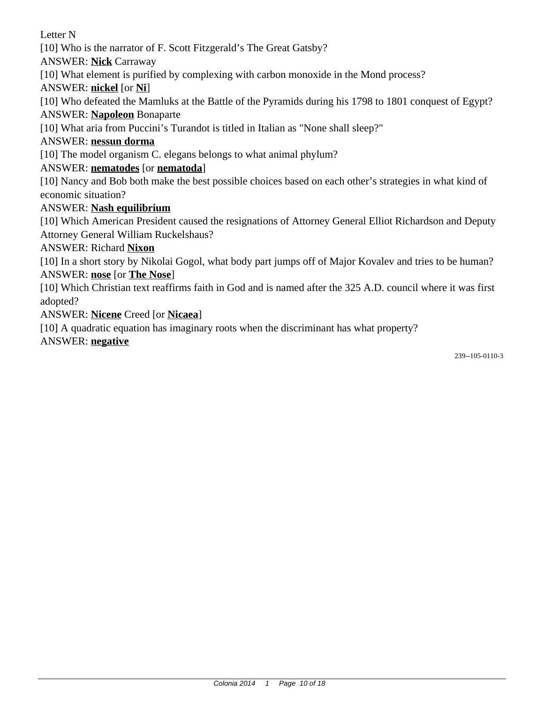Letter N

[10] Who is the narrator of F. Scott Fitzgerald's The Great Gatsby?

ANSWER: **Nick** Carraway

[10] What element is purified by complexing with carbon monoxide in the Mond process?

ANSWER: **nickel** [or **Ni**]

[10] Who defeated the Mamluks at the Battle of the Pyramids during his 1798 to 1801 conquest of Egypt?

ANSWER: **Napoleon** Bonaparte

[10] What aria from Puccini's Turandot is titled in Italian as "None shall sleep?"

# ANSWER: **nessun dorma**

[10] The model organism C. elegans belongs to what animal phylum?

# ANSWER: **nematodes** [or **nematoda**]

[10] Nancy and Bob both make the best possible choices based on each other's strategies in what kind of economic situation?

# ANSWER: **Nash equilibrium**

[10] Which American President caused the resignations of Attorney General Elliot Richardson and Deputy Attorney General William Ruckelshaus?

ANSWER: Richard **Nixon**

[10] In a short story by Nikolai Gogol, what body part jumps off of Major Kovalev and tries to be human? ANSWER: **nose** [or **The Nose**]

[10] Which Christian text reaffirms faith in God and is named after the 325 A.D. council where it was first adopted?

ANSWER: **Nicene** Creed [or **Nicaea**]

[10] A quadratic equation has imaginary roots when the discriminant has what property?

ANSWER: **negative**

239--105-0110-3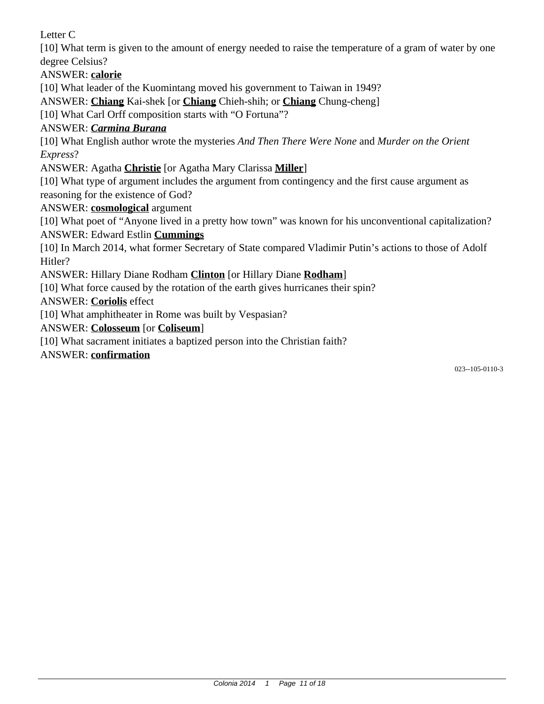Letter C

[10] What term is given to the amount of energy needed to raise the temperature of a gram of water by one degree Celsius?

ANSWER: **calorie**

[10] What leader of the Kuomintang moved his government to Taiwan in 1949?

ANSWER: **Chiang** Kai-shek [or **Chiang** Chieh-shih; or **Chiang** Chung-cheng]

[10] What Carl Orff composition starts with "O Fortuna"?

# ANSWER: *Carmina Burana*

[10] What English author wrote the mysteries *And Then There Were None* and *Murder on the Orient Express*?

ANSWER: Agatha **Christie** [or Agatha Mary Clarissa **Miller**]

[10] What type of argument includes the argument from contingency and the first cause argument as reasoning for the existence of God?

ANSWER: **cosmological** argument

[10] What poet of "Anyone lived in a pretty how town" was known for his unconventional capitalization? ANSWER: Edward Estlin **Cummings**

[10] In March 2014, what former Secretary of State compared Vladimir Putin's actions to those of Adolf Hitler?

ANSWER: Hillary Diane Rodham **Clinton** [or Hillary Diane **Rodham**]

[10] What force caused by the rotation of the earth gives hurricanes their spin?

ANSWER: **Coriolis** effect

[10] What amphitheater in Rome was built by Vespasian?

ANSWER: **Colosseum** [or **Coliseum**]

[10] What sacrament initiates a baptized person into the Christian faith?

ANSWER: **confirmation**

023--105-0110-3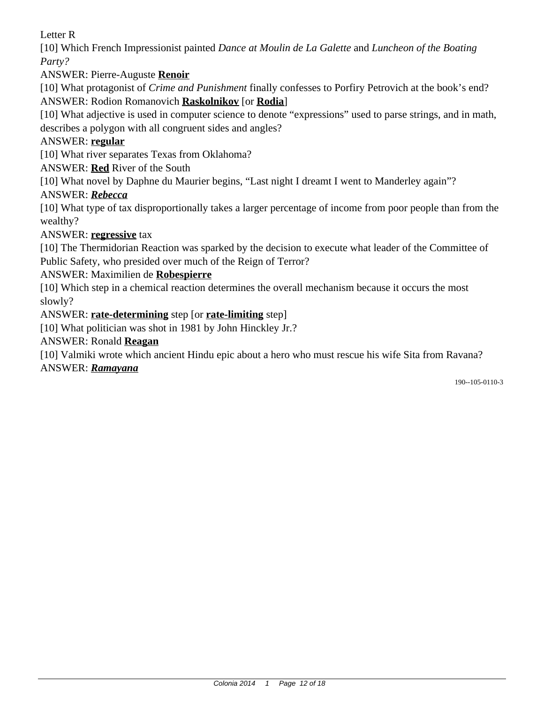Letter R

[10] Which French Impressionist painted *Dance at Moulin de La Galette* and *Luncheon of the Boating Party?*

ANSWER: Pierre-Auguste **Renoir**

[10] What protagonist of *Crime and Punishment* finally confesses to Porfiry Petrovich at the book's end? ANSWER: Rodion Romanovich **Raskolnikov** [or **Rodia**]

[10] What adjective is used in computer science to denote "expressions" used to parse strings, and in math, describes a polygon with all congruent sides and angles?

# ANSWER: **regular**

[10] What river separates Texas from Oklahoma?

ANSWER: **Red** River of the South

[10] What novel by Daphne du Maurier begins, "Last night I dreamt I went to Manderley again"?

# ANSWER: *Rebecca*

[10] What type of tax disproportionally takes a larger percentage of income from poor people than from the wealthy?

# ANSWER: **regressive** tax

[10] The Thermidorian Reaction was sparked by the decision to execute what leader of the Committee of Public Safety, who presided over much of the Reign of Terror?

# ANSWER: Maximilien de **Robespierre**

[10] Which step in a chemical reaction determines the overall mechanism because it occurs the most slowly?

# ANSWER: **rate-determining** step [or **rate-limiting** step]

[10] What politician was shot in 1981 by John Hinckley Jr.?

### ANSWER: Ronald **Reagan**

[10] Valmiki wrote which ancient Hindu epic about a hero who must rescue his wife Sita from Ravana? ANSWER: *Ramayana*

190--105-0110-3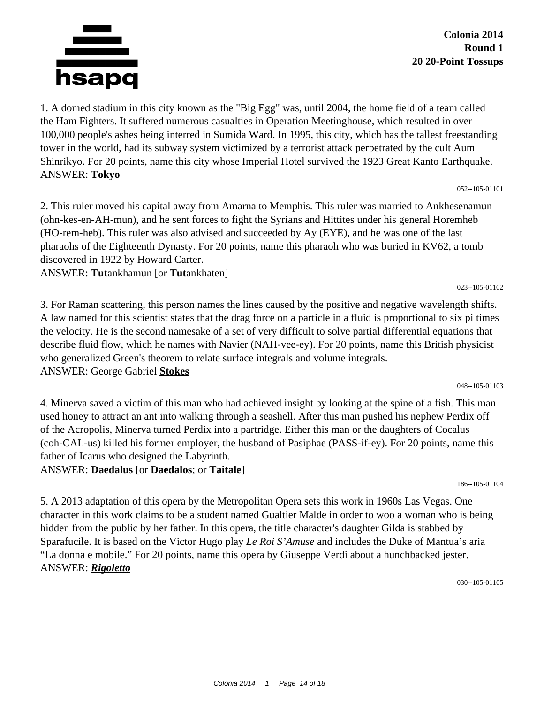

**Colonia 2014 Round 1 20 20-Point Tossups**

1. A domed stadium in this city known as the "Big Egg" was, until 2004, the home field of a team called the Ham Fighters. It suffered numerous casualties in Operation Meetinghouse, which resulted in over 100,000 people's ashes being interred in Sumida Ward. In 1995, this city, which has the tallest freestanding tower in the world, had its subway system victimized by a terrorist attack perpetrated by the cult Aum Shinrikyo. For 20 points, name this city whose Imperial Hotel survived the 1923 Great Kanto Earthquake. ANSWER: **Tokyo**

052--105-01101

023--105-01102

2. This ruler moved his capital away from Amarna to Memphis. This ruler was married to Ankhesenamun (ohn-kes-en-AH-mun), and he sent forces to fight the Syrians and Hittites under his general Horemheb (HO-rem-heb). This ruler was also advised and succeeded by Ay (EYE), and he was one of the last pharaohs of the Eighteenth Dynasty. For 20 points, name this pharaoh who was buried in KV62, a tomb discovered in 1922 by Howard Carter.

ANSWER: **Tut**ankhamun [or **Tut**ankhaten]

3. For Raman scattering, this person names the lines caused by the positive and negative wavelength shifts. A law named for this scientist states that the drag force on a particle in a fluid is proportional to six pi times the velocity. He is the second namesake of a set of very difficult to solve partial differential equations that describe fluid flow, which he names with Navier (NAH-vee-ey). For 20 points, name this British physicist who generalized Green's theorem to relate surface integrals and volume integrals. ANSWER: George Gabriel **Stokes**

048--105-01103

4. Minerva saved a victim of this man who had achieved insight by looking at the spine of a fish. This man used honey to attract an ant into walking through a seashell. After this man pushed his nephew Perdix off of the Acropolis, Minerva turned Perdix into a partridge. Either this man or the daughters of Cocalus (coh-CAL-us) killed his former employer, the husband of Pasiphae (PASS-if-ey). For 20 points, name this father of Icarus who designed the Labyrinth. ANSWER: **Daedalus** [or **Daedalos**; or **Taitale**]

186--105-01104

5. A 2013 adaptation of this opera by the Metropolitan Opera sets this work in 1960s Las Vegas. One character in this work claims to be a student named Gualtier Malde in order to woo a woman who is being hidden from the public by her father. In this opera, the title character's daughter Gilda is stabbed by Sparafucile. It is based on the Victor Hugo play *Le Roi S'Amuse* and includes the Duke of Mantua's aria "La donna e mobile." For 20 points, name this opera by Giuseppe Verdi about a hunchbacked jester. ANSWER: *Rigoletto*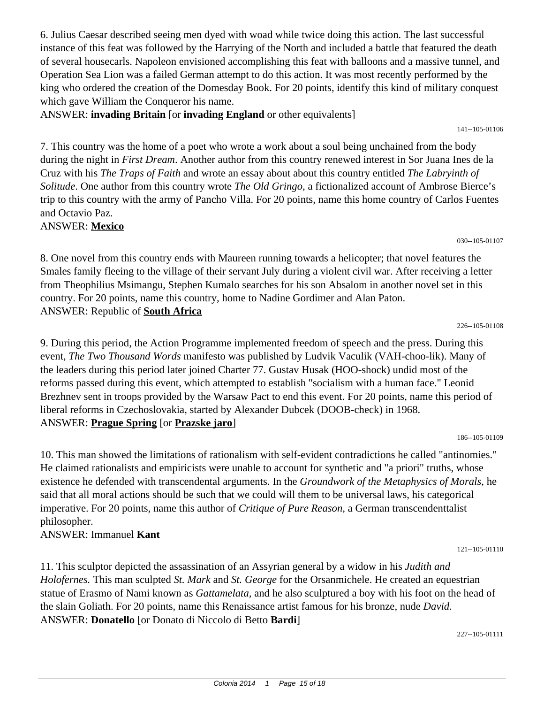6. Julius Caesar described seeing men dyed with woad while twice doing this action. The last successful instance of this feat was followed by the Harrying of the North and included a battle that featured the death of several housecarls. Napoleon envisioned accomplishing this feat with balloons and a massive tunnel, and Operation Sea Lion was a failed German attempt to do this action. It was most recently performed by the king who ordered the creation of the Domesday Book. For 20 points, identify this kind of military conquest which gave William the Conqueror his name.

ANSWER: **invading Britain** [or **invading England** or other equivalents]

7. This country was the home of a poet who wrote a work about a soul being unchained from the body during the night in *First Dream*. Another author from this country renewed interest in Sor Juana Ines de la Cruz with his *The Traps of Faith* and wrote an essay about about this country entitled *The Labryinth of Solitude*. One author from this country wrote *The Old Gringo*, a fictionalized account of Ambrose Bierce's trip to this country with the army of Pancho Villa. For 20 points, name this home country of Carlos Fuentes and Octavio Paz.

ANSWER: **Mexico**

8. One novel from this country ends with Maureen running towards a helicopter; that novel features the Smales family fleeing to the village of their servant July during a violent civil war. After receiving a letter from Theophilius Msimangu, Stephen Kumalo searches for his son Absalom in another novel set in this country. For 20 points, name this country, home to Nadine Gordimer and Alan Paton. ANSWER: Republic of **South Africa**

9. During this period, the Action Programme implemented freedom of speech and the press. During this event, *The Two Thousand Words* manifesto was published by Ludvik Vaculik (VAH-choo-lik). Many of the leaders during this period later joined Charter 77. Gustav Husak (HOO-shock) undid most of the reforms passed during this event, which attempted to establish "socialism with a human face." Leonid Brezhnev sent in troops provided by the Warsaw Pact to end this event. For 20 points, name this period of liberal reforms in Czechoslovakia, started by Alexander Dubcek (DOOB-check) in 1968. ANSWER: **Prague Spring** [or **Prazske jaro**]

10. This man showed the limitations of rationalism with self-evident contradictions he called "antinomies." He claimed rationalists and empiricists were unable to account for synthetic and "a priori" truths, whose existence he defended with transcendental arguments. In the *Groundwork of the Metaphysics of Morals,* he said that all moral actions should be such that we could will them to be universal laws, his categorical imperative. For 20 points, name this author of *Critique of Pure Reason,* a German transcendenttalist philosopher.

ANSWER: Immanuel **Kant**

11. This sculptor depicted the assassination of an Assyrian general by a widow in his *Judith and Holofernes.* This man sculpted *St. Mark* and *St. George* for the Orsanmichele. He created an equestrian statue of Erasmo of Nami known as *Gattamelata,* and he also sculptured a boy with his foot on the head of the slain Goliath. For 20 points, name this Renaissance artist famous for his bronze, nude *David.* ANSWER: **Donatello** [or Donato di Niccolo di Betto **Bardi**]

227--105-01111

226--105-01108

030--105-01107

141--105-01106

121--105-01110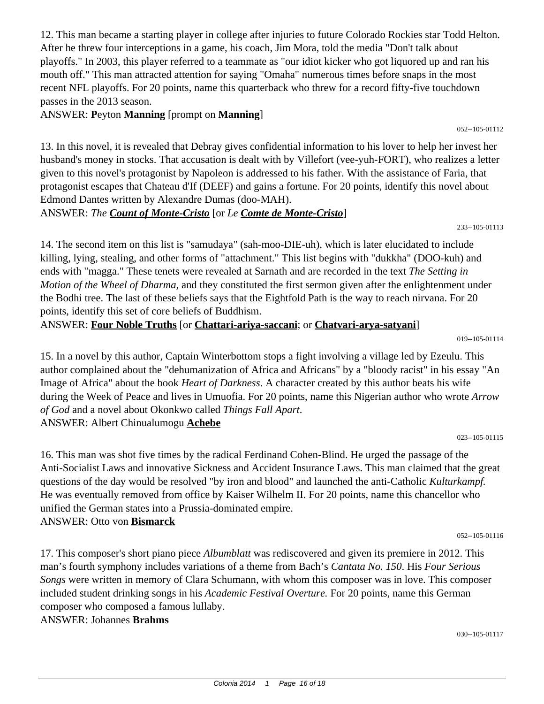12. This man became a starting player in college after injuries to future Colorado Rockies star Todd Helton. After he threw four interceptions in a game, his coach, Jim Mora, told the media "Don't talk about playoffs." In 2003, this player referred to a teammate as "our idiot kicker who got liquored up and ran his mouth off." This man attracted attention for saying "Omaha" numerous times before snaps in the most recent NFL playoffs. For 20 points, name this quarterback who threw for a record fifty-five touchdown passes in the 2013 season.

ANSWER: **P**eyton **Manning** [prompt on **Manning**]

13. In this novel, it is revealed that Debray gives confidential information to his lover to help her invest her husband's money in stocks. That accusation is dealt with by Villefort (vee-yuh-FORT), who realizes a letter given to this novel's protagonist by Napoleon is addressed to his father. With the assistance of Faria, that protagonist escapes that Chateau d'If (DEEF) and gains a fortune. For 20 points, identify this novel about Edmond Dantes written by Alexandre Dumas (doo-MAH).

ANSWER: *The Count of Monte-Cristo* [or *Le Comte de Monte-Cristo*]

14. The second item on this list is "samudaya" (sah-moo-DIE-uh), which is later elucidated to include killing, lying, stealing, and other forms of "attachment." This list begins with "dukkha" (DOO-kuh) and ends with "magga." These tenets were revealed at Sarnath and are recorded in the text *The Setting in Motion of the Wheel of Dharma,* and they constituted the first sermon given after the enlightenment under the Bodhi tree. The last of these beliefs says that the Eightfold Path is the way to reach nirvana. For 20 points, identify this set of core beliefs of Buddhism.

ANSWER: **Four Noble Truths** [or **Chattari-ariya-saccani**; or **Chatvari-arya-satyani**]

019--105-01114

052--105-01112

233--105-01113

15. In a novel by this author, Captain Winterbottom stops a fight involving a village led by Ezeulu. This author complained about the "dehumanization of Africa and Africans" by a "bloody racist" in his essay "An Image of Africa" about the book *Heart of Darkness*. A character created by this author beats his wife during the Week of Peace and lives in Umuofia. For 20 points, name this Nigerian author who wrote *Arrow of God* and a novel about Okonkwo called *Things Fall Apart*. ANSWER: Albert Chinualumogu **Achebe**

023--105-01115

16. This man was shot five times by the radical Ferdinand Cohen-Blind. He urged the passage of the Anti-Socialist Laws and innovative Sickness and Accident Insurance Laws. This man claimed that the great questions of the day would be resolved "by iron and blood" and launched the anti-Catholic *Kulturkampf.* He was eventually removed from office by Kaiser Wilhelm II. For 20 points, name this chancellor who unified the German states into a Prussia-dominated empire. ANSWER: Otto von **Bismarck**

052--105-01116

17. This composer's short piano piece *Albumblatt* was rediscovered and given its premiere in 2012. This man's fourth symphony includes variations of a theme from Bach's *Cantata No. 150*. His *Four Serious Songs* were written in memory of Clara Schumann, with whom this composer was in love. This composer included student drinking songs in his *Academic Festival Overture.* For 20 points, name this German composer who composed a famous lullaby.

ANSWER: Johannes **Brahms**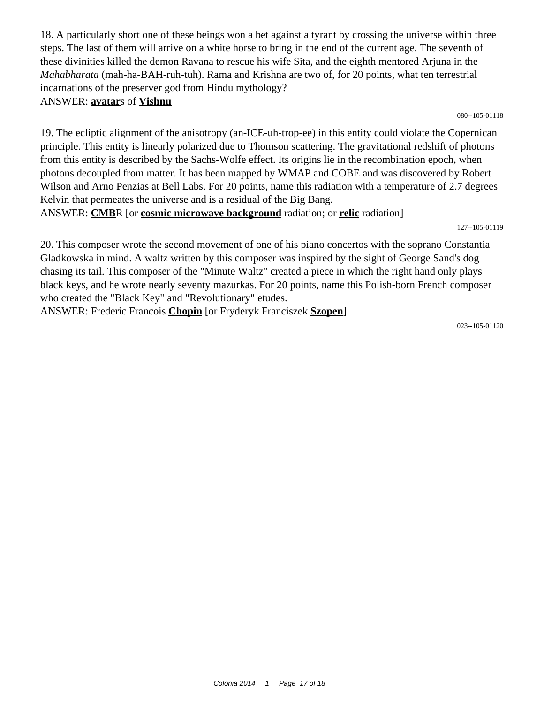18. A particularly short one of these beings won a bet against a tyrant by crossing the universe within three steps. The last of them will arrive on a white horse to bring in the end of the current age. The seventh of these divinities killed the demon Ravana to rescue his wife Sita, and the eighth mentored Arjuna in the *Mahabharata* (mah-ha-BAH-ruh-tuh). Rama and Krishna are two of, for 20 points, what ten terrestrial incarnations of the preserver god from Hindu mythology? ANSWER: **avatar**s of **Vishnu**

080--105-01118

19. The ecliptic alignment of the anisotropy (an-ICE-uh-trop-ee) in this entity could violate the Copernican principle. This entity is linearly polarized due to Thomson scattering. The gravitational redshift of photons from this entity is described by the Sachs-Wolfe effect. Its origins lie in the recombination epoch, when photons decoupled from matter. It has been mapped by WMAP and COBE and was discovered by Robert Wilson and Arno Penzias at Bell Labs. For 20 points, name this radiation with a temperature of 2.7 degrees Kelvin that permeates the universe and is a residual of the Big Bang.

ANSWER: **CMB**R [or **cosmic microwave background** radiation; or **relic** radiation]

127--105-01119

20. This composer wrote the second movement of one of his piano concertos with the soprano Constantia Gladkowska in mind. A waltz written by this composer was inspired by the sight of George Sand's dog chasing its tail. This composer of the "Minute Waltz" created a piece in which the right hand only plays black keys, and he wrote nearly seventy mazurkas. For 20 points, name this Polish-born French composer who created the "Black Key" and "Revolutionary" etudes.

ANSWER: Frederic Francois **Chopin** [or Fryderyk Franciszek **Szopen**]